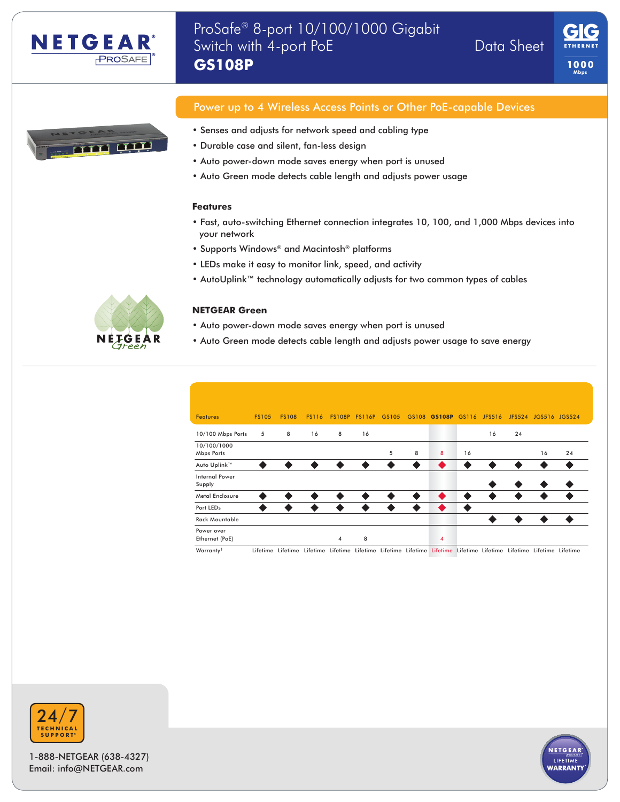





# Power up to 4 Wireless Access Points or Other PoE-capable Devices

- Senses and adjusts for network speed and cabling type
- Durable case and silent, fan-less design
- Auto power-down mode saves energy when port is unused
- Auto Green mode detects cable length and adjusts power usage

### **Features**

- Fast, auto-switching Ethernet connection integrates 10, 100, and 1,000 Mbps devices into your network
- Supports Windows® and Macintosh® platforms
- LEDs make it easy to monitor link, speed, and activity
- AutoUplink™ technology automatically adjusts for two common types of cables



### **NETGEAR Green**

- Auto power-down mode saves energy when port is unused
- Auto Green mode detects cable length and adjusts power usage to save energy

| <b>Features</b>                 | <b>FS105</b> | <b>FS108</b> | <b>FS116</b> |                | FS108P FS116P GS105 |           |           | GS108 GS108P GS116 |           | JFS516    |           | JFS524 JGS516 JGS524 |           |  |
|---------------------------------|--------------|--------------|--------------|----------------|---------------------|-----------|-----------|--------------------|-----------|-----------|-----------|----------------------|-----------|--|
| 10/100 Mbps Ports               | 5            | 8            | 16           | 8              | 16                  |           |           |                    |           | 16        | 24        |                      |           |  |
| 10/100/1000<br>Mbps Ports       |              |              |              |                |                     | 5         | 8         | 8                  | 16        |           |           | 16                   | 24        |  |
| Auto Uplink™                    | $\bullet$    | $\bullet$    | $\bullet$    | $\bullet$      | $\bullet$           | ◉         | $\bullet$ | $\bullet$          | $\bullet$ | $\bullet$ | $\bullet$ | $\bullet$            | $\bullet$ |  |
| <b>Internal Power</b><br>Supply |              |              |              |                |                     |           |           |                    |           | $\bullet$ | $\bullet$ | $\bullet$            | $\bullet$ |  |
| <b>Metal Enclosure</b>          | ◎            | $\bullet$    | $\bullet$    | $\bullet$      | ◎                   | ◎         | $\bullet$ | $\bullet$          | ◉         | $\bullet$ | $\bullet$ | ◎                    | $\bullet$ |  |
| Port LEDs                       | $\bullet$    | $\bullet$    | $\bullet$    | $\bullet$      | $\bullet$           | $\bullet$ | $\bullet$ | $\bullet$          | $\bullet$ |           |           |                      |           |  |
| <b>Rack Mountable</b>           |              |              |              |                |                     |           |           |                    |           | $\bullet$ | $\bullet$ | $\bullet$            | $\bullet$ |  |
| Power over                      |              |              |              |                |                     |           |           |                    |           |           |           |                      |           |  |
| Ethernet (PoE)                  |              |              |              | $\overline{4}$ | 8                   |           |           | $\overline{4}$     |           |           |           |                      |           |  |

Warranty<sup>\*</sup> Lifetime Lifetime Lifetime Lifetime Lifetime Lifetime Lifetime Lifetime Lifetime Lifetime Lifetime Lifetime Lifetime



1-888-NETGEAR (638-4327) Email: info@NETGEAR.com

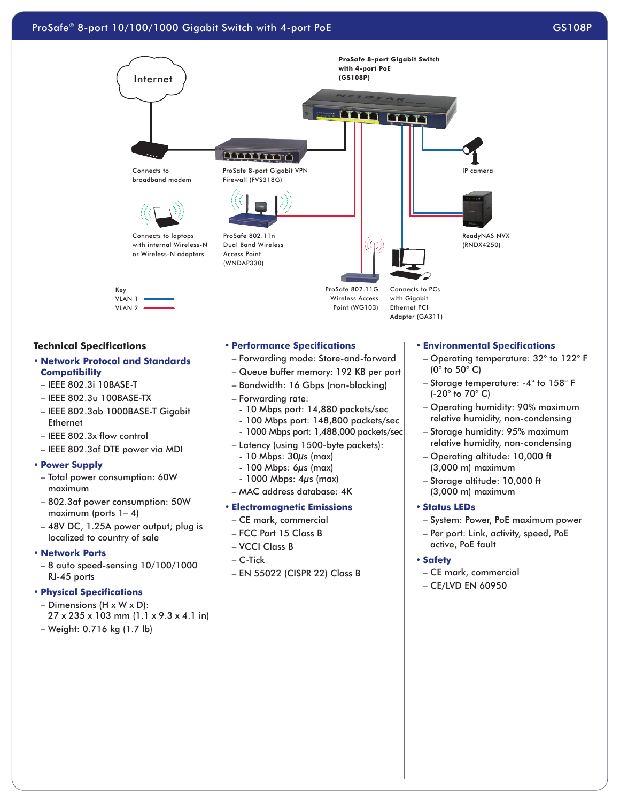

### **Technical Specifications**

# **• Network Protocol and Standards Compatibility**

- IEEE 802.3i 10BASE-T
- IEEE 802.3u 100BASE-TX
- IEEE 802.3ab 1000BASE-T Gigabit **Ethernet**
- IEEE 802.3x flow control
- IEEE 802.3af DTE power via MDI

#### **• Power Supply**

- Total power consumption: 60W maximum
- 802.3af power consumption: 50W maximum (ports 1– 4)
- 48V DC, 1.25A power output; plug is localized to country of sale

#### **• Network Ports**

– 8 auto speed-sensing 10/100/1000 RJ-45 ports

### **• Physical Specifications**

- Dimensions (H x W x D):
- 27 x 235 x 103 mm (1.1 x 9.3 x 4.1 in)

# – Weight: 0.716 kg (1.7 lb)

#### **• Performance Specifications**

- Forwarding mode: Store-and-forward
- Queue buffer memory: 192 KB per port
- Bandwidth: 16 Gbps (non-blocking)
- Forwarding rate:
- 10 Mbps port: 14,880 packets/sec
- 100 Mbps port: 148,800 packets/sec
- 1000 Mbps port: 1,488,000 packets/sec
- Latency (using 1500-byte packets):
- 10 Mbps: 30μs (max)
- $-100$  Mbps: 6 $\mu$ s (max)
- 1000 Mbps: 4μs (max)
- MAC address database: 4K

#### **• Electromagnetic Emissions**

- CE mark, commercial
- FCC Part 15 Class B
- VCCI Class B
- C-Tick
- EN 55022 (CISPR 22) Class B

#### **• Environmental Specifications**

- Operating temperature: 32° to 122° F (0° to 50° C)
- Storage temperature: -4° to 158° F (-20° to 70° C)
- Operating humidity: 90% maximum relative humidity, non-condensing
- Storage humidity: 95% maximum relative humidity, non-condensing
- Operating altitude: 10,000 ft (3,000 m) maximum
- Storage altitude: 10,000 ft (3,000 m) maximum

### **• Status LEDs**

- System: Power, PoE maximum power
- Per port: Link, activity, speed, PoE active, PoE fault

### **• Safety**

- CE mark, commercial
- CE/LVD EN 60950